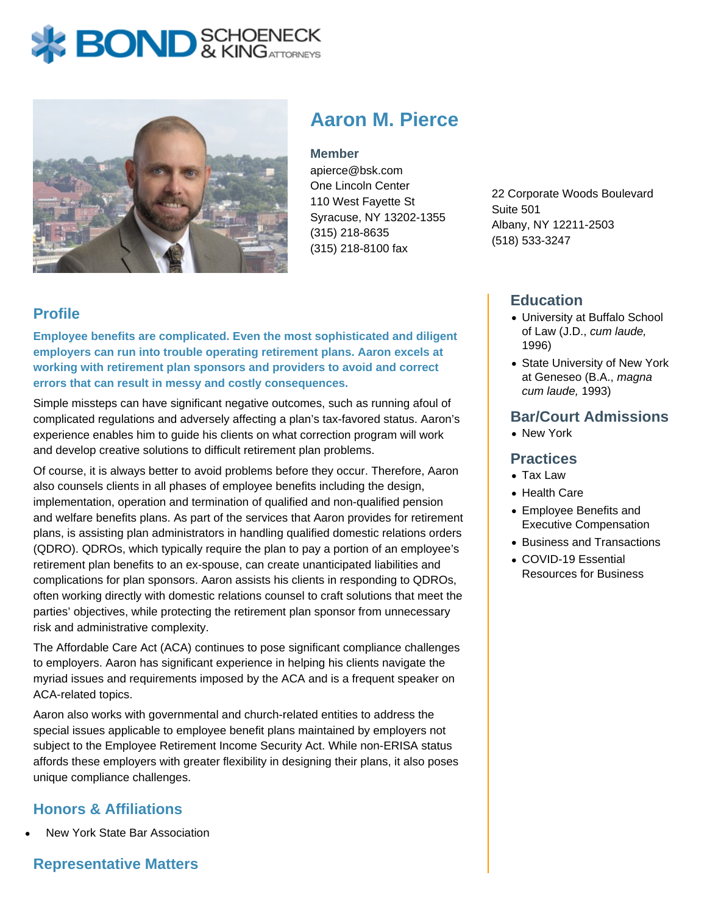# **X BOND** & KINGATTORNECK



# **Aaron M. Pierce**

#### **Member**

apierce@bsk.com One Lincoln Center 110 West Fayette St Syracuse, NY 13202-1355 (315) 218-8635 (315) 218-8100 fax

22 Corporate Woods Boulevard Suite 501 Albany, NY 12211-2503 (518) 533-3247

# **Profile**

**Employee benefits are complicated. Even the most sophisticated and diligent employers can run into trouble operating retirement plans. Aaron excels at working with retirement plan sponsors and providers to avoid and correct errors that can result in messy and costly consequences.**

Simple missteps can have significant negative outcomes, such as running afoul of complicated regulations and adversely affecting a plan's tax-favored status. Aaron's experience enables him to guide his clients on what correction program will work and develop creative solutions to difficult retirement plan problems.

Of course, it is always better to avoid problems before they occur. Therefore, Aaron also counsels clients in all phases of employee benefits including the design, implementation, operation and termination of qualified and non-qualified pension and welfare benefits plans. As part of the services that Aaron provides for retirement plans, is assisting plan administrators in handling qualified domestic relations orders (QDRO). QDROs, which typically require the plan to pay a portion of an employee's retirement plan benefits to an ex-spouse, can create unanticipated liabilities and complications for plan sponsors. Aaron assists his clients in responding to QDROs, often working directly with domestic relations counsel to craft solutions that meet the parties' objectives, while protecting the retirement plan sponsor from unnecessary risk and administrative complexity.

The Affordable Care Act (ACA) continues to pose significant compliance challenges to employers. Aaron has significant experience in helping his clients navigate the myriad issues and requirements imposed by the ACA and is a frequent speaker on ACA-related topics.

Aaron also works with governmental and church-related entities to address the special issues applicable to employee benefit plans maintained by employers not subject to the Employee Retirement Income Security Act. While non-ERISA status affords these employers with greater flexibility in designing their plans, it also poses unique compliance challenges.

# **Honors & Affiliations**

New York State Bar Association

## **Representative Matters**

#### **Education**

- University at Buffalo School of Law (J.D., cum laude, 1996)
- State University of New York at Geneseo (B.A., magna cum laude, 1993)

#### **Bar/Court Admissions**

• New York

#### **Practices**

- Tax Law
- Health Care
- Employee Benefits and Executive Compensation
- Business and Transactions
- COVID-19 Essential Resources for Business